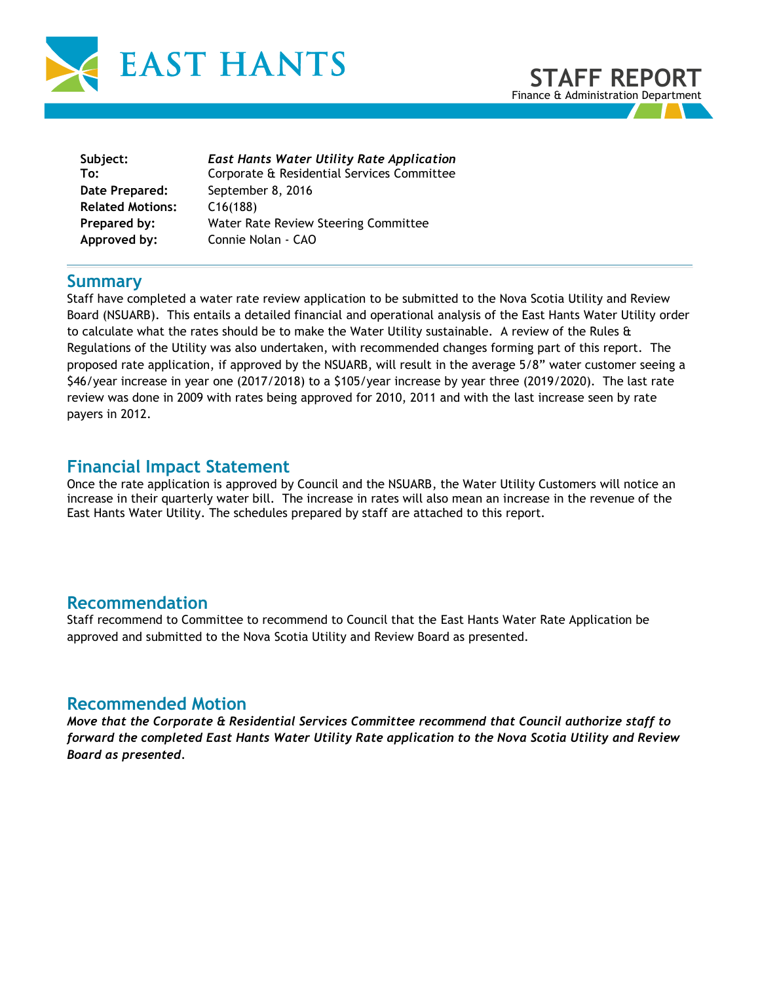



| Subject:                | <b>East Hants Water Utility Rate Application</b> |
|-------------------------|--------------------------------------------------|
| To:                     | Corporate & Residential Services Committee       |
| Date Prepared:          | September 8, 2016                                |
| <b>Related Motions:</b> | C16(188)                                         |
| Prepared by:            | Water Rate Review Steering Committee             |
| Approved by:            | Connie Nolan - CAO                               |
|                         |                                                  |

## **Summary**

Staff have completed a water rate review application to be submitted to the Nova Scotia Utility and Review Board (NSUARB). This entails a detailed financial and operational analysis of the East Hants Water Utility order to calculate what the rates should be to make the Water Utility sustainable. A review of the Rules & Regulations of the Utility was also undertaken, with recommended changes forming part of this report. The proposed rate application, if approved by the NSUARB, will result in the average 5/8" water customer seeing a \$46/year increase in year one (2017/2018) to a \$105/year increase by year three (2019/2020). The last rate review was done in 2009 with rates being approved for 2010, 2011 and with the last increase seen by rate payers in 2012.

## **Financial Impact Statement**

Once the rate application is approved by Council and the NSUARB, the Water Utility Customers will notice an increase in their quarterly water bill. The increase in rates will also mean an increase in the revenue of the East Hants Water Utility. The schedules prepared by staff are attached to this report.

## **Recommendation**

Staff recommend to Committee to recommend to Council that the East Hants Water Rate Application be approved and submitted to the Nova Scotia Utility and Review Board as presented.

## **Recommended Motion**

*Move that the Corporate & Residential Services Committee recommend that Council authorize staff to forward the completed East Hants Water Utility Rate application to the Nova Scotia Utility and Review Board as presented.*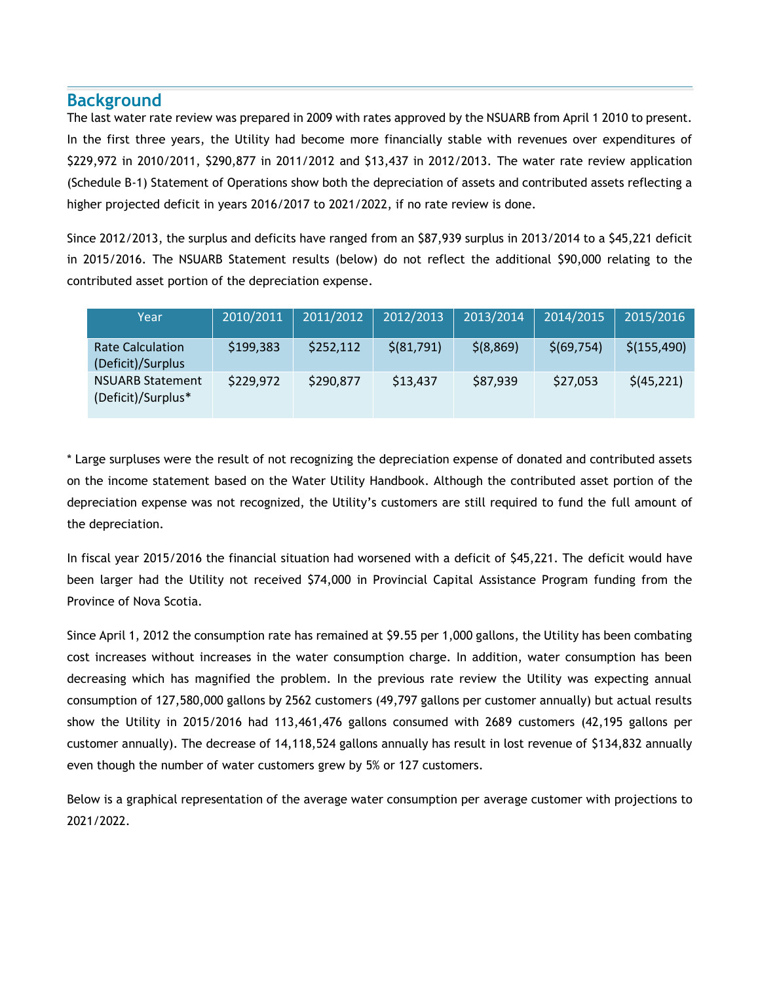## **Background**

The last water rate review was prepared in 2009 with rates approved by the NSUARB from April 1 2010 to present. In the first three years, the Utility had become more financially stable with revenues over expenditures of \$229,972 in 2010/2011, \$290,877 in 2011/2012 and \$13,437 in 2012/2013. The water rate review application (Schedule B-1) Statement of Operations show both the depreciation of assets and contributed assets reflecting a higher projected deficit in years 2016/2017 to 2021/2022, if no rate review is done.

Since 2012/2013, the surplus and deficits have ranged from an \$87,939 surplus in 2013/2014 to a \$45,221 deficit in 2015/2016. The NSUARB Statement results (below) do not reflect the additional \$90,000 relating to the contributed asset portion of the depreciation expense.

| Year                                          | 2010/2011 | 2011/2012 | 2012/2013   | 2013/2014 | 2014/2015   | 2015/2016    |
|-----------------------------------------------|-----------|-----------|-------------|-----------|-------------|--------------|
| <b>Rate Calculation</b><br>(Deficit)/Surplus  | \$199,383 | \$252,112 | \$ (81,791) | \$(8,869) | \$(69, 754) | \$(155, 490) |
| <b>NSUARB Statement</b><br>(Deficit)/Surplus* | \$229,972 | \$290,877 | \$13,437    | \$87,939  | \$27,053    | \$(45,221)   |

\* Large surpluses were the result of not recognizing the depreciation expense of donated and contributed assets on the income statement based on the Water Utility Handbook. Although the contributed asset portion of the depreciation expense was not recognized, the Utility's customers are still required to fund the full amount of the depreciation.

In fiscal year 2015/2016 the financial situation had worsened with a deficit of \$45,221. The deficit would have been larger had the Utility not received \$74,000 in Provincial Capital Assistance Program funding from the Province of Nova Scotia.

Since April 1, 2012 the consumption rate has remained at \$9.55 per 1,000 gallons, the Utility has been combating cost increases without increases in the water consumption charge. In addition, water consumption has been decreasing which has magnified the problem. In the previous rate review the Utility was expecting annual consumption of 127,580,000 gallons by 2562 customers (49,797 gallons per customer annually) but actual results show the Utility in 2015/2016 had 113,461,476 gallons consumed with 2689 customers (42,195 gallons per customer annually). The decrease of 14,118,524 gallons annually has result in lost revenue of \$134,832 annually even though the number of water customers grew by 5% or 127 customers.

Below is a graphical representation of the average water consumption per average customer with projections to 2021/2022.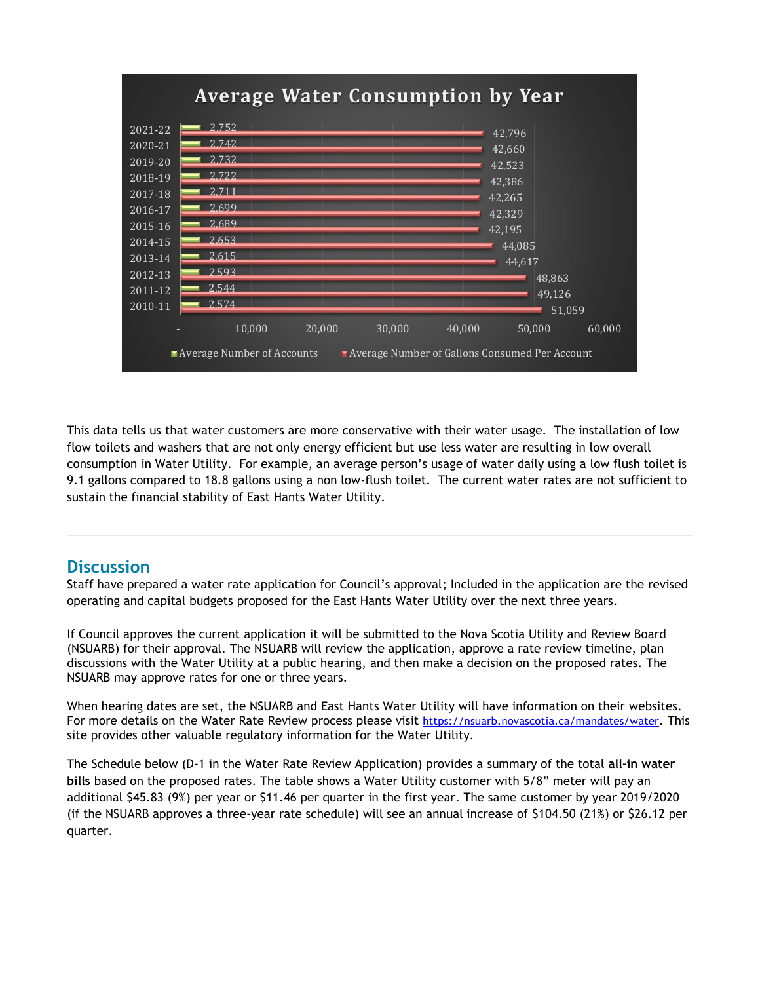

This data tells us that water customers are more conservative with their water usage. The installation of low flow toilets and washers that are not only energy efficient but use less water are resulting in low overall consumption in Water Utility. For example, an average person's usage of water daily using a low flush toilet is 9.1 gallons compared to 18.8 gallons using a non low-flush toilet. The current water rates are not sufficient to sustain the financial stability of East Hants Water Utility.

## **Discussion**

Staff have prepared a water rate application for Council's approval; Included in the application are the revised operating and capital budgets proposed for the East Hants Water Utility over the next three years.

If Council approves the current application it will be submitted to the Nova Scotia Utility and Review Board (NSUARB) for their approval. The NSUARB will review the application, approve a rate review timeline, plan discussions with the Water Utility at a public hearing, and then make a decision on the proposed rates. The NSUARB may approve rates for one or three years.

When hearing dates are set, the NSUARB and East Hants Water Utility will have information on their websites. For more details on the Water Rate Review process please visit <https://nsuarb.novascotia.ca/mandates/water>. This site provides other valuable regulatory information for the Water Utility.

The Schedule below (D-1 in the Water Rate Review Application) provides a summary of the total **all-in water bills** based on the proposed rates. The table shows a Water Utility customer with 5/8" meter will pay an additional \$45.83 (9%) per year or \$11.46 per quarter in the first year. The same customer by year 2019/2020 (if the NSUARB approves a three-year rate schedule) will see an annual increase of \$104.50 (21%) or \$26.12 per quarter.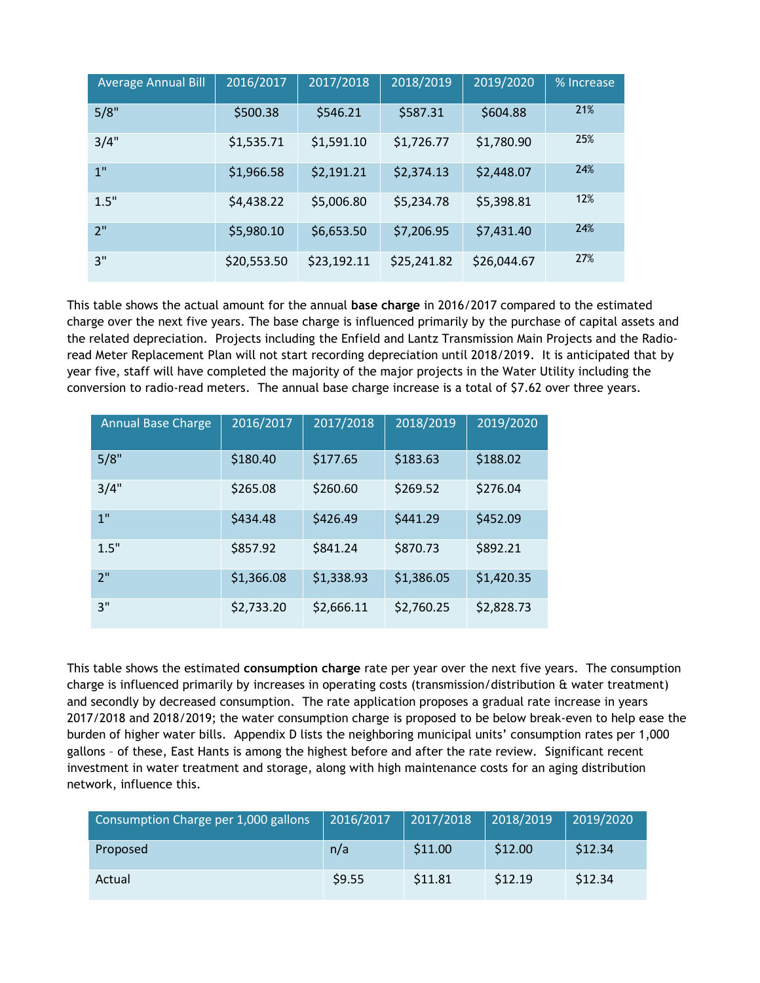| <b>Average Annual Bill</b> | 2016/2017   | 2017/2018   | 2018/2019   | 2019/2020   | % Increase |
|----------------------------|-------------|-------------|-------------|-------------|------------|
| 5/8"                       | \$500.38    | \$546.21    | \$587.31    | \$604.88    | 21%        |
| 3/4"                       | \$1,535.71  | \$1,591.10  | \$1,726.77  | \$1,780.90  | 25%        |
| 1"                         | \$1,966.58  | \$2,191.21  | \$2,374.13  | \$2,448.07  | 24%        |
| 1.5"                       | \$4,438.22  | \$5,006.80  | \$5,234.78  | \$5,398.81  | 12%        |
| 2"                         | \$5,980.10  | \$6,653.50  | \$7,206.95  | \$7,431.40  | 24%        |
| 3"                         | \$20,553.50 | \$23,192.11 | \$25,241.82 | \$26,044.67 | 27%        |

This table shows the actual amount for the annual **base charge** in 2016/2017 compared to the estimated charge over the next five years. The base charge is influenced primarily by the purchase of capital assets and the related depreciation. Projects including the Enfield and Lantz Transmission Main Projects and the Radioread Meter Replacement Plan will not start recording depreciation until 2018/2019. It is anticipated that by year five, staff will have completed the majority of the major projects in the Water Utility including the conversion to radio-read meters. The annual base charge increase is a total of \$7.62 over three years.

| <b>Annual Base Charge</b> | 2016/2017  | 2017/2018  | 2018/2019  | 2019/2020  |
|---------------------------|------------|------------|------------|------------|
| 5/8"                      | \$180.40   | \$177.65   | \$183.63   | \$188.02   |
| 3/4"                      | \$265.08   | \$260.60   | \$269.52   | \$276.04   |
| 1 <sup>''</sup>           | \$434.48   | \$426.49   | \$441.29   | \$452.09   |
| 1.5"                      | \$857.92   | \$841.24   | \$870.73   | \$892.21   |
| 2"                        | \$1,366.08 | \$1,338.93 | \$1,386.05 | \$1,420.35 |
| 3"                        | \$2,733.20 | \$2,666.11 | \$2,760.25 | \$2,828.73 |

This table shows the estimated **consumption charge** rate per year over the next five years. The consumption charge is influenced primarily by increases in operating costs (transmission/distribution & water treatment) and secondly by decreased consumption. The rate application proposes a gradual rate increase in years 2017/2018 and 2018/2019; the water consumption charge is proposed to be below break-even to help ease the burden of higher water bills. Appendix D lists the neighboring municipal units' consumption rates per 1,000 gallons – of these, East Hants is among the highest before and after the rate review. Significant recent investment in water treatment and storage, along with high maintenance costs for an aging distribution network, influence this.

| Consumption Charge per 1,000 gallons | 2016/2017 | 2017/2018 | 2018/2019 | 2019/2020 |
|--------------------------------------|-----------|-----------|-----------|-----------|
| Proposed                             | n/a       | \$11.00   | \$12.00   | \$12.34   |
| Actual                               | \$9.55    | \$11.81   | \$12.19   | \$12.34   |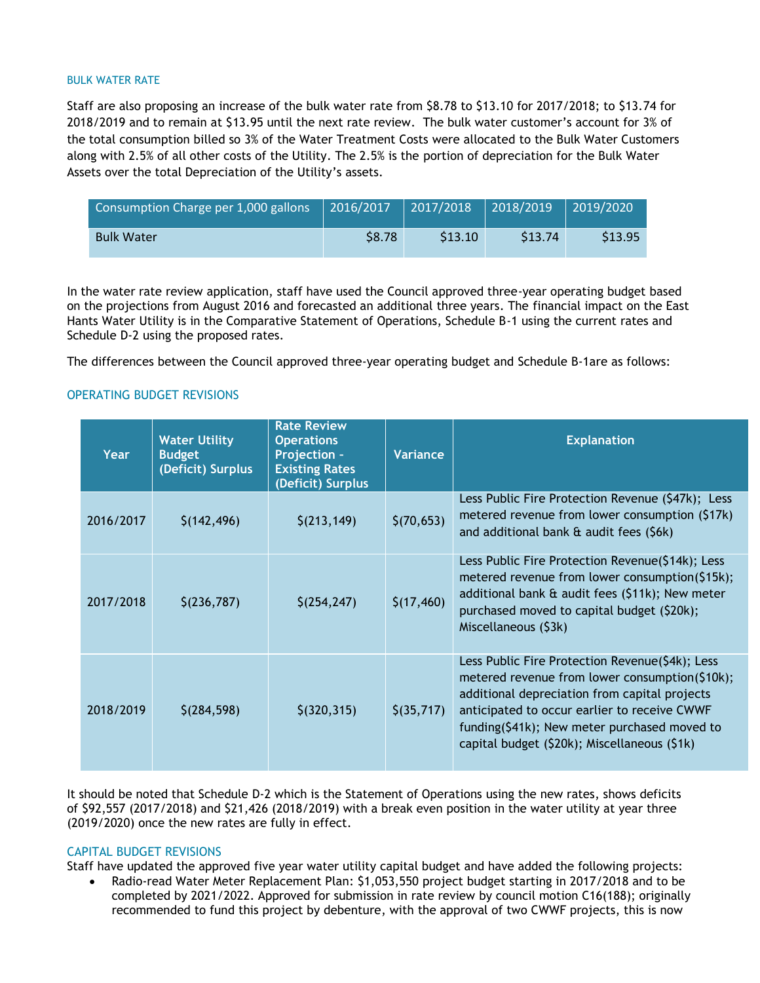#### BULK WATER RATE

Staff are also proposing an increase of the bulk water rate from \$8.78 to \$13.10 for 2017/2018; to \$13.74 for 2018/2019 and to remain at \$13.95 until the next rate review. The bulk water customer's account for 3% of the total consumption billed so 3% of the Water Treatment Costs were allocated to the Bulk Water Customers along with 2.5% of all other costs of the Utility. The 2.5% is the portion of depreciation for the Bulk Water Assets over the total Depreciation of the Utility's assets.

| Consumption Charge per 1,000 gallons | 2016/2017     | 2017/2018 | $\sqrt{2018/2019}$ | 2019/2020 |
|--------------------------------------|---------------|-----------|--------------------|-----------|
| <b>Bulk Water</b>                    | <b>\$8.78</b> | \$13.10   | \$13.74            | \$13.95   |

In the water rate review application, staff have used the Council approved three-year operating budget based on the projections from August 2016 and forecasted an additional three years. The financial impact on the East Hants Water Utility is in the Comparative Statement of Operations, Schedule B-1 using the current rates and Schedule D-2 using the proposed rates.

The differences between the Council approved three-year operating budget and Schedule B-1are as follows:

#### OPERATING BUDGET REVISIONS

| Year      | <b>Water Utility</b><br><b>Budget</b><br>(Deficit) Surplus | <b>Rate Review</b><br><b>Operations</b><br>Projection -<br><b>Existing Rates</b><br>(Deficit) Surplus | Variance    | <b>Explanation</b>                                                                                                                                                                                                                                                                                 |
|-----------|------------------------------------------------------------|-------------------------------------------------------------------------------------------------------|-------------|----------------------------------------------------------------------------------------------------------------------------------------------------------------------------------------------------------------------------------------------------------------------------------------------------|
| 2016/2017 | \$(142, 496)                                               | \$(213, 149)                                                                                          | \$(70,653)  | Less Public Fire Protection Revenue (\$47k); Less<br>metered revenue from lower consumption (\$17k)<br>and additional bank & audit fees (\$6k)                                                                                                                                                     |
| 2017/2018 | \$(236,787)                                                | \$(254, 247)                                                                                          | \$(17, 460) | Less Public Fire Protection Revenue(\$14k); Less<br>metered revenue from lower consumption(\$15k);<br>additional bank & audit fees (\$11k); New meter<br>purchased moved to capital budget (\$20k);<br>Miscellaneous (\$3k)                                                                        |
| 2018/2019 | \$(284, 598)                                               | $$$ (320,315)                                                                                         | \$(35,717)  | Less Public Fire Protection Revenue(\$4k); Less<br>metered revenue from lower consumption(\$10k);<br>additional depreciation from capital projects<br>anticipated to occur earlier to receive CWWF<br>funding(\$41k); New meter purchased moved to<br>capital budget (\$20k); Miscellaneous (\$1k) |

It should be noted that Schedule D-2 which is the Statement of Operations using the new rates, shows deficits of \$92,557 (2017/2018) and \$21,426 (2018/2019) with a break even position in the water utility at year three (2019/2020) once the new rates are fully in effect.

#### CAPITAL BUDGET REVISIONS

Staff have updated the approved five year water utility capital budget and have added the following projects:

• Radio-read Water Meter Replacement Plan: \$1,053,550 project budget starting in 2017/2018 and to be completed by 2021/2022. Approved for submission in rate review by council motion C16(188); originally recommended to fund this project by debenture, with the approval of two CWWF projects, this is now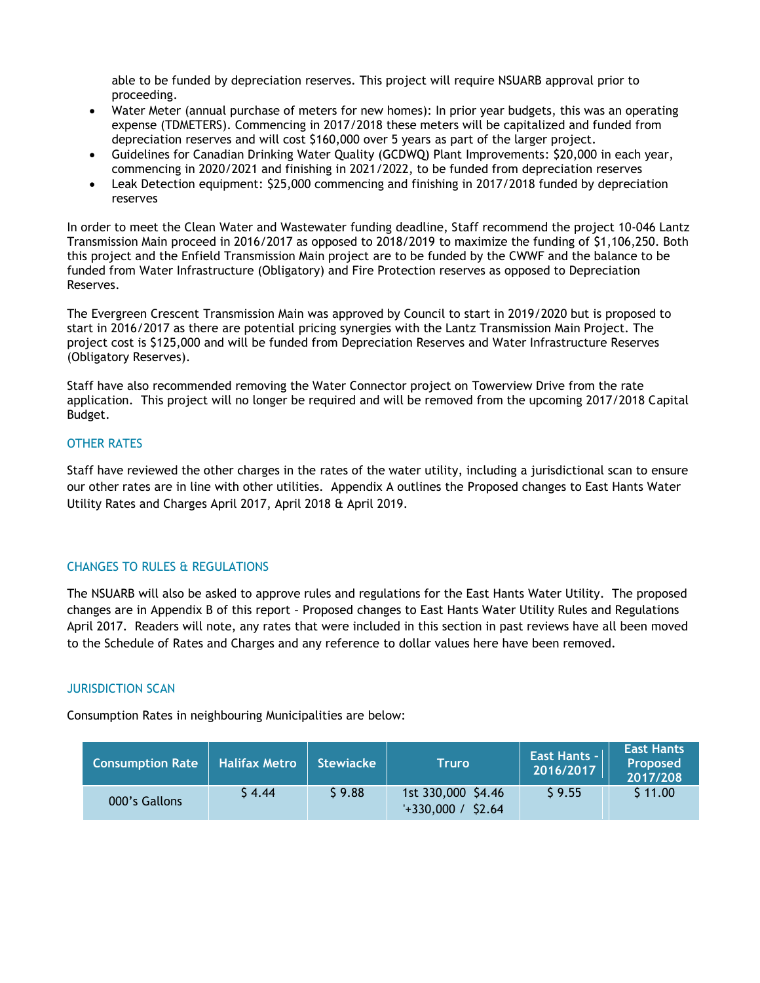able to be funded by depreciation reserves. This project will require NSUARB approval prior to proceeding.

- Water Meter (annual purchase of meters for new homes): In prior year budgets, this was an operating expense (TDMETERS). Commencing in 2017/2018 these meters will be capitalized and funded from depreciation reserves and will cost \$160,000 over 5 years as part of the larger project.
- Guidelines for Canadian Drinking Water Quality (GCDWQ) Plant Improvements: \$20,000 in each year, commencing in 2020/2021 and finishing in 2021/2022, to be funded from depreciation reserves
- Leak Detection equipment: \$25,000 commencing and finishing in 2017/2018 funded by depreciation reserves

In order to meet the Clean Water and Wastewater funding deadline, Staff recommend the project 10-046 Lantz Transmission Main proceed in 2016/2017 as opposed to 2018/2019 to maximize the funding of \$1,106,250. Both this project and the Enfield Transmission Main project are to be funded by the CWWF and the balance to be funded from Water Infrastructure (Obligatory) and Fire Protection reserves as opposed to Depreciation Reserves.

The Evergreen Crescent Transmission Main was approved by Council to start in 2019/2020 but is proposed to start in 2016/2017 as there are potential pricing synergies with the Lantz Transmission Main Project. The project cost is \$125,000 and will be funded from Depreciation Reserves and Water Infrastructure Reserves (Obligatory Reserves).

Staff have also recommended removing the Water Connector project on Towerview Drive from the rate application. This project will no longer be required and will be removed from the upcoming 2017/2018 Capital Budget.

### OTHER RATES

Staff have reviewed the other charges in the rates of the water utility, including a jurisdictional scan to ensure our other rates are in line with other utilities. Appendix A outlines the Proposed changes to East Hants Water Utility Rates and Charges April 2017, April 2018 & April 2019.

### CHANGES TO RULES & REGULATIONS

The NSUARB will also be asked to approve rules and regulations for the East Hants Water Utility. The proposed changes are in Appendix B of this report – Proposed changes to East Hants Water Utility Rules and Regulations April 2017. Readers will note, any rates that were included in this section in past reviews have all been moved to the Schedule of Rates and Charges and any reference to dollar values here have been removed.

#### JURISDICTION SCAN

Consumption Rates in neighbouring Municipalities are below:

| <b>Consumption Rate</b> | <b>Halifax Metro</b> | <b>Stewiacke</b> | <b>Truro</b>                                 | <b>East Hants -</b><br>2016/2017 | <b>East Hants</b><br>Proposed<br>2017/208 |
|-------------------------|----------------------|------------------|----------------------------------------------|----------------------------------|-------------------------------------------|
| 000's Gallons           | S 4.44               | \$9.88           | 1st 330,000 \$4.46<br>\$2.64<br>$+330,000 /$ | $S$ 9.55                         | \$11.00                                   |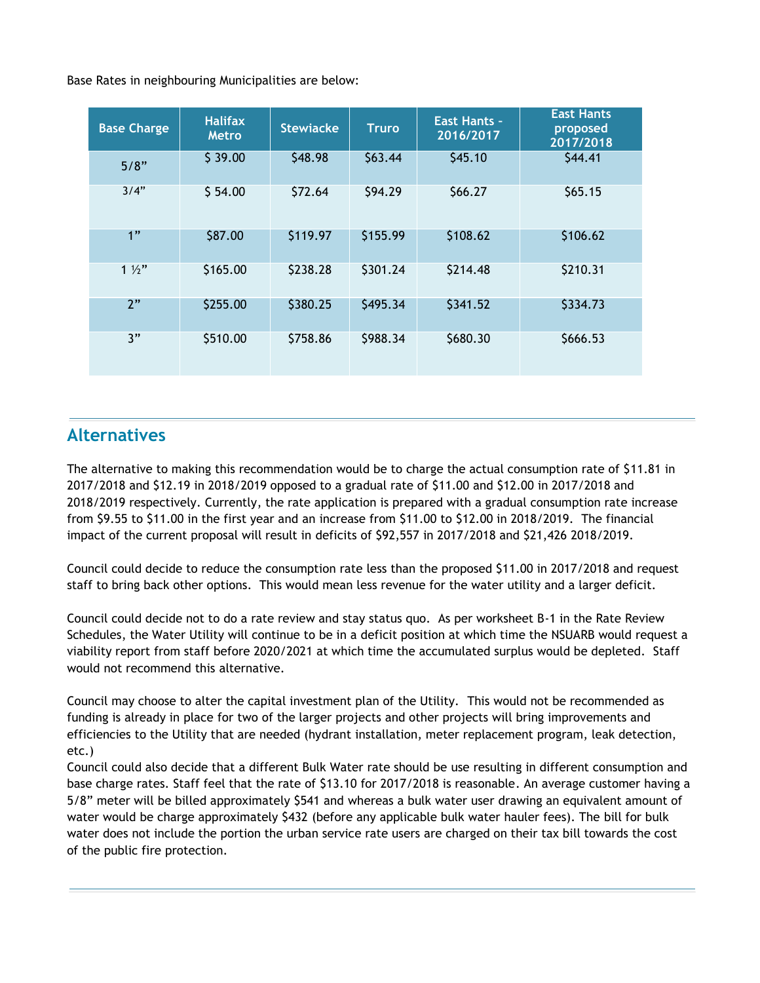Base Rates in neighbouring Municipalities are below:

| <b>Base Charge</b> | <b>Halifax</b><br><b>Metro</b> | <b>Stewiacke</b> | <b>Truro</b> | <b>East Hants -</b><br>2016/2017 | <b>East Hants</b><br>proposed<br>2017/2018 |
|--------------------|--------------------------------|------------------|--------------|----------------------------------|--------------------------------------------|
| 5/8"               | \$39.00                        | \$48.98          | \$63.44      | \$45.10                          | \$44.41                                    |
| 3/4"               | \$54.00                        | \$72.64          | \$94.29      | \$66.27                          | \$65.15                                    |
| 1"                 | \$87.00                        | \$119.97         | \$155.99     | \$108.62                         | \$106.62                                   |
| $1\frac{1}{2}$     | \$165.00                       | \$238.28         | \$301.24     | \$214.48                         | \$210.31                                   |
| 2"                 | \$255.00                       | \$380.25         | \$495.34     | \$341.52                         | \$334.73                                   |
| 3"                 | \$510.00                       | \$758.86         | \$988.34     | \$680.30                         | \$666.53                                   |

# **Alternatives**

The alternative to making this recommendation would be to charge the actual consumption rate of \$11.81 in 2017/2018 and \$12.19 in 2018/2019 opposed to a gradual rate of \$11.00 and \$12.00 in 2017/2018 and 2018/2019 respectively. Currently, the rate application is prepared with a gradual consumption rate increase from \$9.55 to \$11.00 in the first year and an increase from \$11.00 to \$12.00 in 2018/2019. The financial impact of the current proposal will result in deficits of \$92,557 in 2017/2018 and \$21,426 2018/2019.

Council could decide to reduce the consumption rate less than the proposed \$11.00 in 2017/2018 and request staff to bring back other options. This would mean less revenue for the water utility and a larger deficit.

Council could decide not to do a rate review and stay status quo. As per worksheet B-1 in the Rate Review Schedules, the Water Utility will continue to be in a deficit position at which time the NSUARB would request a viability report from staff before 2020/2021 at which time the accumulated surplus would be depleted. Staff would not recommend this alternative.

Council may choose to alter the capital investment plan of the Utility. This would not be recommended as funding is already in place for two of the larger projects and other projects will bring improvements and efficiencies to the Utility that are needed (hydrant installation, meter replacement program, leak detection, etc.)

Council could also decide that a different Bulk Water rate should be use resulting in different consumption and base charge rates. Staff feel that the rate of \$13.10 for 2017/2018 is reasonable. An average customer having a 5/8" meter will be billed approximately \$541 and whereas a bulk water user drawing an equivalent amount of water would be charge approximately \$432 (before any applicable bulk water hauler fees). The bill for bulk water does not include the portion the urban service rate users are charged on their tax bill towards the cost of the public fire protection.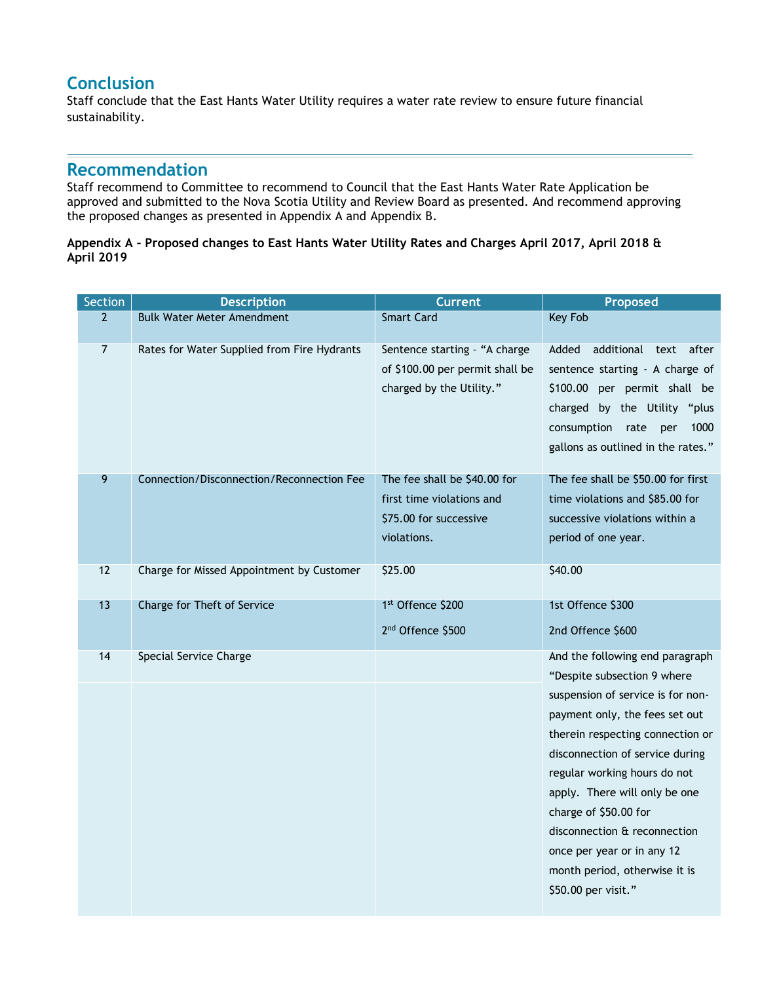## **Conclusion**

Staff conclude that the East Hants Water Utility requires a water rate review to ensure future financial sustainability.

## **Recommendation**

Staff recommend to Committee to recommend to Council that the East Hants Water Rate Application be approved and submitted to the Nova Scotia Utility and Review Board as presented. And recommend approving the proposed changes as presented in Appendix A and Appendix B.

#### **Appendix A – Proposed changes to East Hants Water Utility Rates and Charges April 2017, April 2018 & April 2019**

| Section        | <b>Description</b>                          | <b>Current</b>                                                                                     | Proposed                                                                                                                                                                                                                                                                                                                                                                                                                     |
|----------------|---------------------------------------------|----------------------------------------------------------------------------------------------------|------------------------------------------------------------------------------------------------------------------------------------------------------------------------------------------------------------------------------------------------------------------------------------------------------------------------------------------------------------------------------------------------------------------------------|
| $\overline{2}$ | <b>Bulk Water Meter Amendment</b>           | <b>Smart Card</b>                                                                                  | <b>Key Fob</b>                                                                                                                                                                                                                                                                                                                                                                                                               |
| $\overline{7}$ | Rates for Water Supplied from Fire Hydrants | Sentence starting - "A charge<br>of \$100.00 per permit shall be<br>charged by the Utility."       | Added<br>additional text after<br>sentence starting - A charge of<br>\$100.00 per permit shall be<br>charged by the Utility "plus<br>consumption<br>rate<br>1000<br>per<br>gallons as outlined in the rates."                                                                                                                                                                                                                |
| 9              | Connection/Disconnection/Reconnection Fee   | The fee shall be \$40.00 for<br>first time violations and<br>\$75.00 for successive<br>violations. | The fee shall be \$50.00 for first<br>time violations and \$85.00 for<br>successive violations within a<br>period of one year.                                                                                                                                                                                                                                                                                               |
| 12             | Charge for Missed Appointment by Customer   | \$25.00                                                                                            | \$40.00                                                                                                                                                                                                                                                                                                                                                                                                                      |
| 13             | Charge for Theft of Service                 | 1st Offence \$200<br>2 <sup>nd</sup> Offence \$500                                                 | 1st Offence \$300<br>2nd Offence \$600                                                                                                                                                                                                                                                                                                                                                                                       |
| 14             | Special Service Charge                      |                                                                                                    | And the following end paragraph<br>"Despite subsection 9 where<br>suspension of service is for non-<br>payment only, the fees set out<br>therein respecting connection or<br>disconnection of service during<br>regular working hours do not<br>apply. There will only be one<br>charge of \$50.00 for<br>disconnection & reconnection<br>once per year or in any 12<br>month period, otherwise it is<br>\$50.00 per visit." |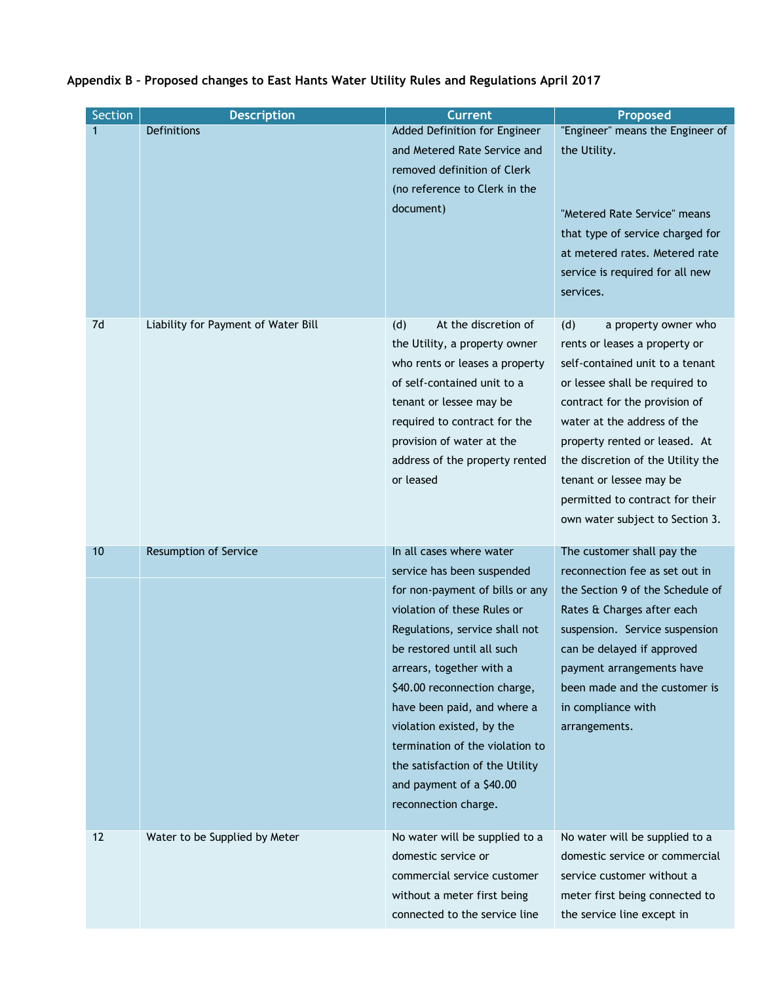| <b>Section</b> | <b>Description</b>                  | <b>Current</b>                                                                                                                                                                                                                                                                                                                                                                                                                             | <b>Proposed</b>                                                                                                                                                                                                                                                                                                                                                          |
|----------------|-------------------------------------|--------------------------------------------------------------------------------------------------------------------------------------------------------------------------------------------------------------------------------------------------------------------------------------------------------------------------------------------------------------------------------------------------------------------------------------------|--------------------------------------------------------------------------------------------------------------------------------------------------------------------------------------------------------------------------------------------------------------------------------------------------------------------------------------------------------------------------|
| 1              | Definitions                         | Added Definition for Engineer<br>and Metered Rate Service and<br>removed definition of Clerk<br>(no reference to Clerk in the<br>document)                                                                                                                                                                                                                                                                                                 | "Engineer" means the Engineer of<br>the Utility.<br>"Metered Rate Service" means<br>that type of service charged for<br>at metered rates. Metered rate<br>service is required for all new<br>services.                                                                                                                                                                   |
| 7d             | Liability for Payment of Water Bill | At the discretion of<br>(d)<br>the Utility, a property owner<br>who rents or leases a property<br>of self-contained unit to a<br>tenant or lessee may be<br>required to contract for the<br>provision of water at the<br>address of the property rented<br>or leased                                                                                                                                                                       | (d)<br>a property owner who<br>rents or leases a property or<br>self-contained unit to a tenant<br>or lessee shall be required to<br>contract for the provision of<br>water at the address of the<br>property rented or leased. At<br>the discretion of the Utility the<br>tenant or lessee may be<br>permitted to contract for their<br>own water subject to Section 3. |
| 10             | <b>Resumption of Service</b>        | In all cases where water<br>service has been suspended<br>for non-payment of bills or any<br>violation of these Rules or<br>Regulations, service shall not<br>be restored until all such<br>arrears, together with a<br>\$40.00 reconnection charge,<br>have been paid, and where a<br>violation existed, by the<br>termination of the violation to<br>the satisfaction of the Utility<br>and payment of a \$40.00<br>reconnection charge. | The customer shall pay the<br>reconnection fee as set out in<br>the Section 9 of the Schedule of<br>Rates & Charges after each<br>suspension. Service suspension<br>can be delayed if approved<br>payment arrangements have<br>been made and the customer is<br>in compliance with<br>arrangements.                                                                      |
| 12             | Water to be Supplied by Meter       | No water will be supplied to a<br>domestic service or<br>commercial service customer<br>without a meter first being<br>connected to the service line                                                                                                                                                                                                                                                                                       | No water will be supplied to a<br>domestic service or commercial<br>service customer without a<br>meter first being connected to<br>the service line except in                                                                                                                                                                                                           |

# **Appendix B – Proposed changes to East Hants Water Utility Rules and Regulations April 2017**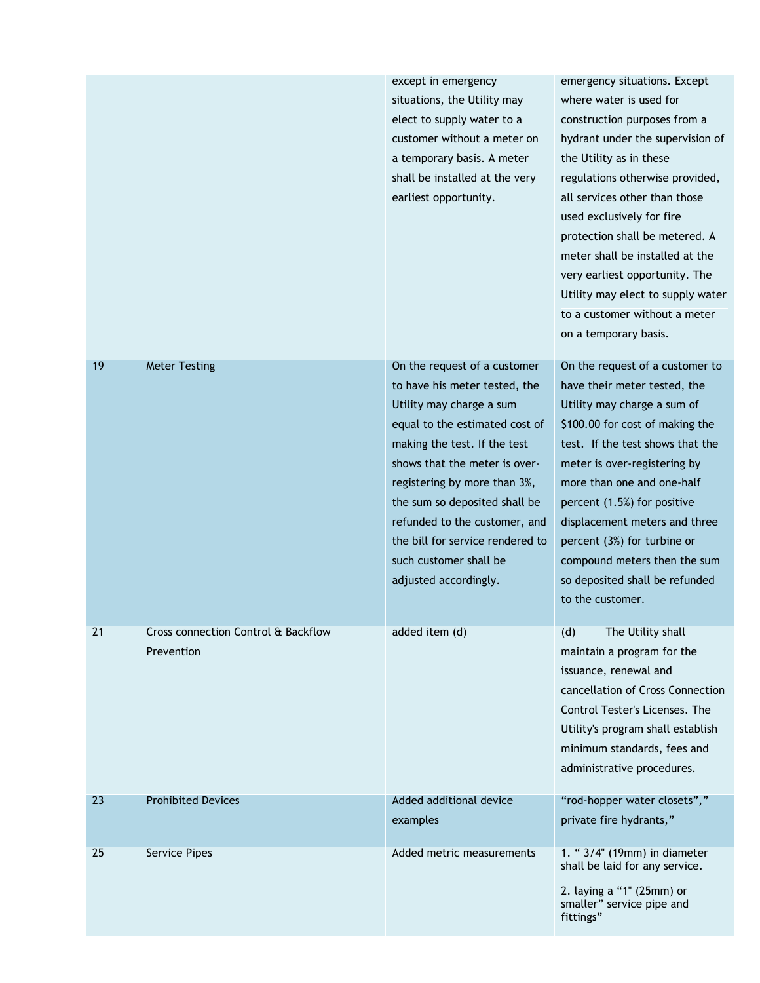|    |                                                   | except in emergency<br>situations, the Utility may<br>elect to supply water to a<br>customer without a meter on<br>a temporary basis. A meter<br>shall be installed at the very<br>earliest opportunity.                                                                                                                                                                              | emergency situations. Except<br>where water is used for<br>construction purposes from a<br>hydrant under the supervision of<br>the Utility as in these<br>regulations otherwise provided,<br>all services other than those<br>used exclusively for fire<br>protection shall be metered. A<br>meter shall be installed at the<br>very earliest opportunity. The<br>Utility may elect to supply water<br>to a customer without a meter<br>on a temporary basis. |
|----|---------------------------------------------------|---------------------------------------------------------------------------------------------------------------------------------------------------------------------------------------------------------------------------------------------------------------------------------------------------------------------------------------------------------------------------------------|---------------------------------------------------------------------------------------------------------------------------------------------------------------------------------------------------------------------------------------------------------------------------------------------------------------------------------------------------------------------------------------------------------------------------------------------------------------|
| 19 | <b>Meter Testing</b>                              | On the request of a customer<br>to have his meter tested, the<br>Utility may charge a sum<br>equal to the estimated cost of<br>making the test. If the test<br>shows that the meter is over-<br>registering by more than 3%,<br>the sum so deposited shall be<br>refunded to the customer, and<br>the bill for service rendered to<br>such customer shall be<br>adjusted accordingly. | On the request of a customer to<br>have their meter tested, the<br>Utility may charge a sum of<br>\$100.00 for cost of making the<br>test. If the test shows that the<br>meter is over-registering by<br>more than one and one-half<br>percent (1.5%) for positive<br>displacement meters and three<br>percent (3%) for turbine or<br>compound meters then the sum<br>so deposited shall be refunded<br>to the customer.                                      |
| 21 | Cross connection Control & Backflow<br>Prevention | added item (d)                                                                                                                                                                                                                                                                                                                                                                        | The Utility shall<br>(d)<br>maintain a program for the<br>issuance, renewal and<br>cancellation of Cross Connection<br>Control Tester's Licenses. The<br>Utility's program shall establish<br>minimum standards, fees and<br>administrative procedures.                                                                                                                                                                                                       |
| 23 | <b>Prohibited Devices</b>                         | Added additional device<br>examples                                                                                                                                                                                                                                                                                                                                                   | "rod-hopper water closets","<br>private fire hydrants,"                                                                                                                                                                                                                                                                                                                                                                                                       |
| 25 | Service Pipes                                     | Added metric measurements                                                                                                                                                                                                                                                                                                                                                             | 1. " 3/4" (19mm) in diameter<br>shall be laid for any service.<br>2. laying a "1" (25mm) or<br>smaller" service pipe and<br>fittings"                                                                                                                                                                                                                                                                                                                         |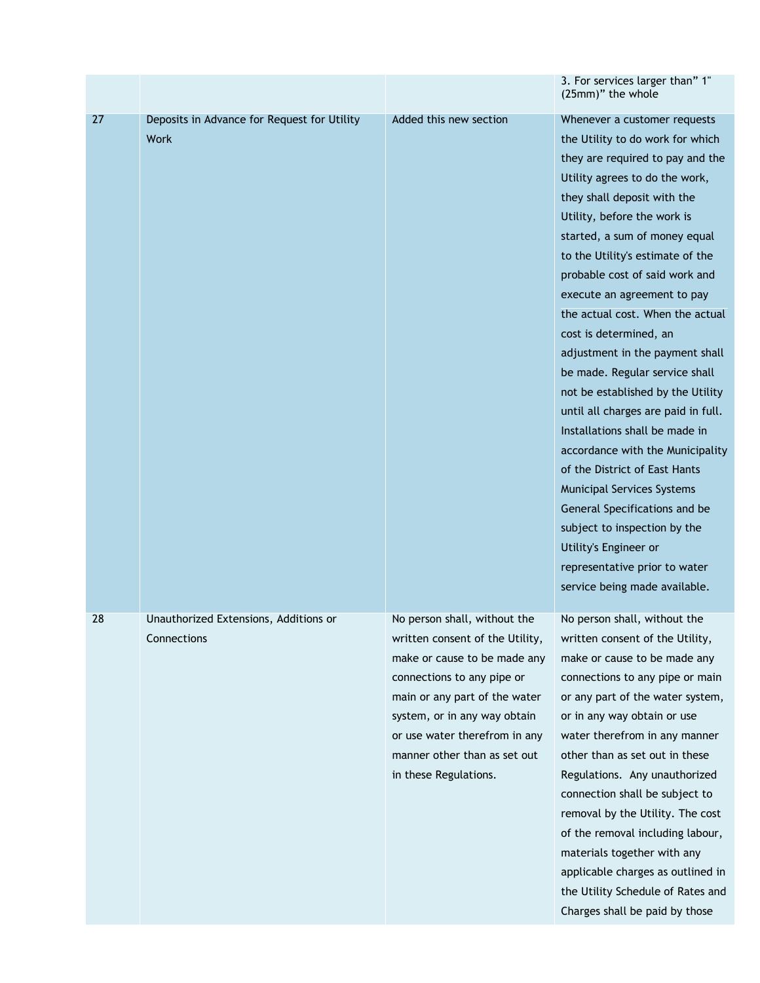|    |                                                            |                                                                                                                                                                                                                                                                                          | 3. For services larger than" 1"<br>(25mm)" the whole                                                                                                                                                                                                                                                                                                                                                                                                                                                                                                                                                                                                                                                                                                                                                                                                       |
|----|------------------------------------------------------------|------------------------------------------------------------------------------------------------------------------------------------------------------------------------------------------------------------------------------------------------------------------------------------------|------------------------------------------------------------------------------------------------------------------------------------------------------------------------------------------------------------------------------------------------------------------------------------------------------------------------------------------------------------------------------------------------------------------------------------------------------------------------------------------------------------------------------------------------------------------------------------------------------------------------------------------------------------------------------------------------------------------------------------------------------------------------------------------------------------------------------------------------------------|
| 27 | Deposits in Advance for Request for Utility<br><b>Work</b> | Added this new section                                                                                                                                                                                                                                                                   | Whenever a customer requests<br>the Utility to do work for which<br>they are required to pay and the<br>Utility agrees to do the work,<br>they shall deposit with the<br>Utility, before the work is<br>started, a sum of money equal<br>to the Utility's estimate of the<br>probable cost of said work and<br>execute an agreement to pay<br>the actual cost. When the actual<br>cost is determined, an<br>adjustment in the payment shall<br>be made. Regular service shall<br>not be established by the Utility<br>until all charges are paid in full.<br>Installations shall be made in<br>accordance with the Municipality<br>of the District of East Hants<br>Municipal Services Systems<br>General Specifications and be<br>subject to inspection by the<br>Utility's Engineer or<br>representative prior to water<br>service being made available. |
| 28 | Unauthorized Extensions, Additions or<br>Connections       | No person shall, without the<br>written consent of the Utility,<br>make or cause to be made any<br>connections to any pipe or<br>main or any part of the water<br>system, or in any way obtain<br>or use water therefrom in any<br>manner other than as set out<br>in these Regulations. | No person shall, without the<br>written consent of the Utility,<br>make or cause to be made any<br>connections to any pipe or main<br>or any part of the water system,<br>or in any way obtain or use<br>water therefrom in any manner<br>other than as set out in these<br>Regulations. Any unauthorized<br>connection shall be subject to<br>removal by the Utility. The cost<br>of the removal including labour,<br>materials together with any<br>applicable charges as outlined in<br>the Utility Schedule of Rates and<br>Charges shall be paid by those                                                                                                                                                                                                                                                                                             |